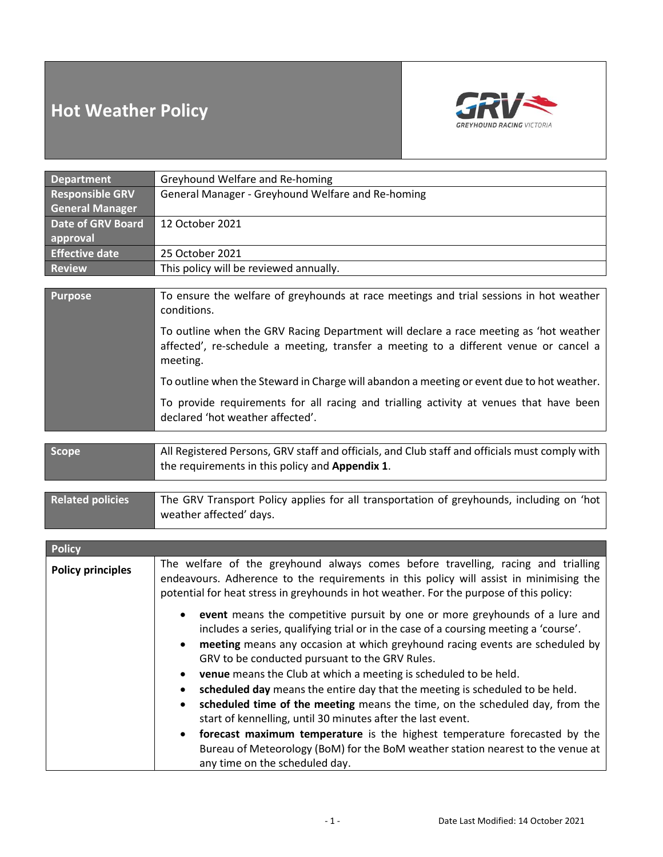# **Hot Weather Policy**



| <b>Department</b>                                | Greyhound Welfare and Re-homing                                                                                                                                                                                                                                                                                                                                                                                                                                                                                                                                                                                                                                                                                                                                                                                     |
|--------------------------------------------------|---------------------------------------------------------------------------------------------------------------------------------------------------------------------------------------------------------------------------------------------------------------------------------------------------------------------------------------------------------------------------------------------------------------------------------------------------------------------------------------------------------------------------------------------------------------------------------------------------------------------------------------------------------------------------------------------------------------------------------------------------------------------------------------------------------------------|
| <b>Responsible GRV</b><br><b>General Manager</b> | General Manager - Greyhound Welfare and Re-homing                                                                                                                                                                                                                                                                                                                                                                                                                                                                                                                                                                                                                                                                                                                                                                   |
| Date of GRV Board                                | 12 October 2021                                                                                                                                                                                                                                                                                                                                                                                                                                                                                                                                                                                                                                                                                                                                                                                                     |
| approval                                         |                                                                                                                                                                                                                                                                                                                                                                                                                                                                                                                                                                                                                                                                                                                                                                                                                     |
| <b>Effective date</b>                            | 25 October 2021                                                                                                                                                                                                                                                                                                                                                                                                                                                                                                                                                                                                                                                                                                                                                                                                     |
| <b>Review</b>                                    | This policy will be reviewed annually.                                                                                                                                                                                                                                                                                                                                                                                                                                                                                                                                                                                                                                                                                                                                                                              |
| <b>Purpose</b>                                   | To ensure the welfare of greyhounds at race meetings and trial sessions in hot weather<br>conditions.                                                                                                                                                                                                                                                                                                                                                                                                                                                                                                                                                                                                                                                                                                               |
|                                                  | To outline when the GRV Racing Department will declare a race meeting as 'hot weather<br>affected', re-schedule a meeting, transfer a meeting to a different venue or cancel a<br>meeting.                                                                                                                                                                                                                                                                                                                                                                                                                                                                                                                                                                                                                          |
|                                                  | To outline when the Steward in Charge will abandon a meeting or event due to hot weather.                                                                                                                                                                                                                                                                                                                                                                                                                                                                                                                                                                                                                                                                                                                           |
|                                                  | To provide requirements for all racing and trialling activity at venues that have been<br>declared 'hot weather affected'.                                                                                                                                                                                                                                                                                                                                                                                                                                                                                                                                                                                                                                                                                          |
|                                                  |                                                                                                                                                                                                                                                                                                                                                                                                                                                                                                                                                                                                                                                                                                                                                                                                                     |
| <b>Scope</b>                                     | All Registered Persons, GRV staff and officials, and Club staff and officials must comply with<br>the requirements in this policy and Appendix 1.                                                                                                                                                                                                                                                                                                                                                                                                                                                                                                                                                                                                                                                                   |
| <b>Related policies</b>                          | The GRV Transport Policy applies for all transportation of greyhounds, including on 'hot<br>weather affected' days.                                                                                                                                                                                                                                                                                                                                                                                                                                                                                                                                                                                                                                                                                                 |
|                                                  |                                                                                                                                                                                                                                                                                                                                                                                                                                                                                                                                                                                                                                                                                                                                                                                                                     |
| <b>Policy</b>                                    |                                                                                                                                                                                                                                                                                                                                                                                                                                                                                                                                                                                                                                                                                                                                                                                                                     |
| <b>Policy principles</b>                         | The welfare of the greyhound always comes before travelling, racing and trialling<br>endeavours. Adherence to the requirements in this policy will assist in minimising the<br>potential for heat stress in greyhounds in hot weather. For the purpose of this policy:                                                                                                                                                                                                                                                                                                                                                                                                                                                                                                                                              |
|                                                  | event means the competitive pursuit by one or more greyhounds of a lure and<br>٠<br>includes a series, qualifying trial or in the case of a coursing meeting a 'course'.<br>meeting means any occasion at which greyhound racing events are scheduled by $ $<br>GRV to be conducted pursuant to the GRV Rules.<br>venue means the Club at which a meeting is scheduled to be held.<br>scheduled day means the entire day that the meeting is scheduled to be held.<br>scheduled time of the meeting means the time, on the scheduled day, from the<br>start of kennelling, until 30 minutes after the last event.<br>forecast maximum temperature is the highest temperature forecasted by the<br>Bureau of Meteorology (BoM) for the BoM weather station nearest to the venue at<br>any time on the scheduled day. |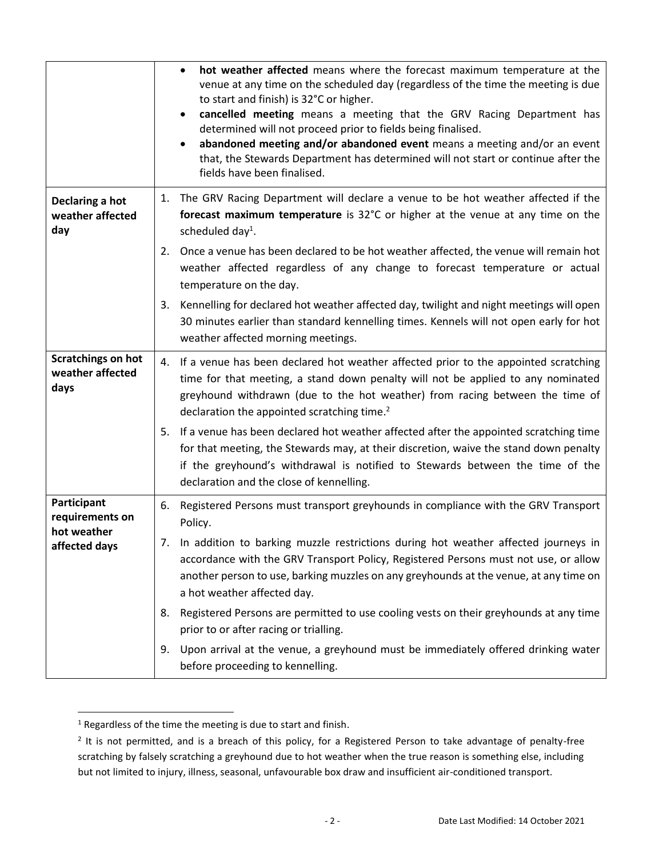|                                                                | hot weather affected means where the forecast maximum temperature at the<br>$\bullet$<br>venue at any time on the scheduled day (regardless of the time the meeting is due<br>to start and finish) is 32°C or higher.<br>cancelled meeting means a meeting that the GRV Racing Department has<br>$\bullet$<br>determined will not proceed prior to fields being finalised.<br>abandoned meeting and/or abandoned event means a meeting and/or an event<br>$\bullet$<br>that, the Stewards Department has determined will not start or continue after the<br>fields have been finalised. |
|----------------------------------------------------------------|-----------------------------------------------------------------------------------------------------------------------------------------------------------------------------------------------------------------------------------------------------------------------------------------------------------------------------------------------------------------------------------------------------------------------------------------------------------------------------------------------------------------------------------------------------------------------------------------|
| Declaring a hot<br>weather affected<br>day                     | The GRV Racing Department will declare a venue to be hot weather affected if the<br>1.<br>forecast maximum temperature is 32°C or higher at the venue at any time on the<br>scheduled day <sup>1</sup> .                                                                                                                                                                                                                                                                                                                                                                                |
|                                                                | Once a venue has been declared to be hot weather affected, the venue will remain hot<br>2.<br>weather affected regardless of any change to forecast temperature or actual<br>temperature on the day.                                                                                                                                                                                                                                                                                                                                                                                    |
|                                                                | Kennelling for declared hot weather affected day, twilight and night meetings will open<br>3.<br>30 minutes earlier than standard kennelling times. Kennels will not open early for hot<br>weather affected morning meetings.                                                                                                                                                                                                                                                                                                                                                           |
| <b>Scratchings on hot</b><br>weather affected<br>days          | If a venue has been declared hot weather affected prior to the appointed scratching<br>4.<br>time for that meeting, a stand down penalty will not be applied to any nominated<br>greyhound withdrawn (due to the hot weather) from racing between the time of<br>declaration the appointed scratching time. <sup>2</sup>                                                                                                                                                                                                                                                                |
|                                                                | If a venue has been declared hot weather affected after the appointed scratching time<br>5.<br>for that meeting, the Stewards may, at their discretion, waive the stand down penalty<br>if the greyhound's withdrawal is notified to Stewards between the time of the<br>declaration and the close of kennelling.                                                                                                                                                                                                                                                                       |
| Participant<br>requirements on<br>hot weather<br>affected days | Registered Persons must transport greyhounds in compliance with the GRV Transport<br>6.<br>Policy.                                                                                                                                                                                                                                                                                                                                                                                                                                                                                      |
|                                                                | 7. In addition to barking muzzle restrictions during hot weather affected journeys in<br>accordance with the GRV Transport Policy, Registered Persons must not use, or allow<br>another person to use, barking muzzles on any greyhounds at the venue, at any time on<br>a hot weather affected day.                                                                                                                                                                                                                                                                                    |
|                                                                | Registered Persons are permitted to use cooling vests on their greyhounds at any time<br>8.<br>prior to or after racing or trialling.                                                                                                                                                                                                                                                                                                                                                                                                                                                   |
|                                                                | Upon arrival at the venue, a greyhound must be immediately offered drinking water<br>9.<br>before proceeding to kennelling.                                                                                                                                                                                                                                                                                                                                                                                                                                                             |

<sup>1</sup> Regardless of the time the meeting is due to start and finish.

 $2$  It is not permitted, and is a breach of this policy, for a Registered Person to take advantage of penalty-free scratching by falsely scratching a greyhound due to hot weather when the true reason is something else, including but not limited to injury, illness, seasonal, unfavourable box draw and insufficient air-conditioned transport.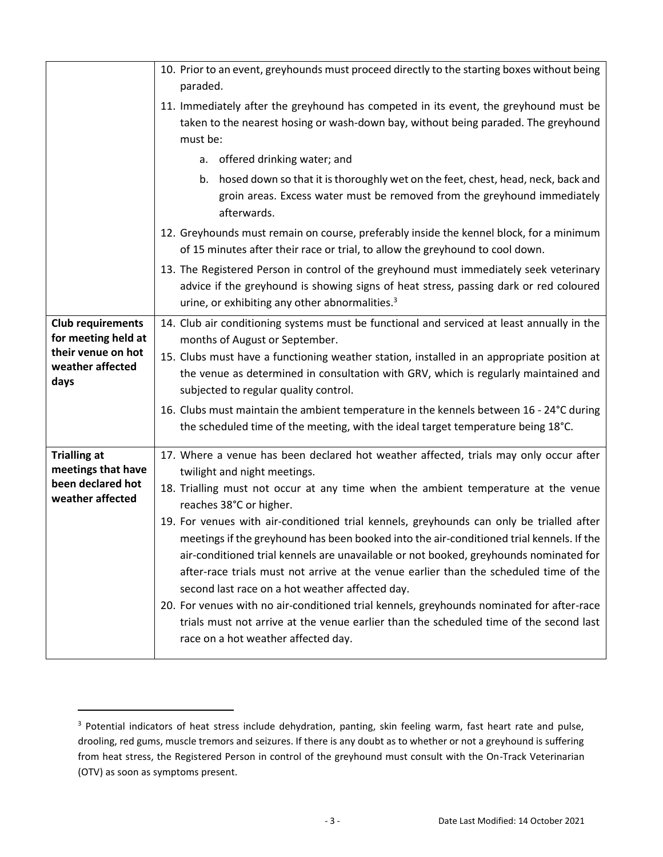|                                                                                                   | 10. Prior to an event, greyhounds must proceed directly to the starting boxes without being                                                                                                                                                                                                                                                                                                                                                                                                                                                                                                                                                             |
|---------------------------------------------------------------------------------------------------|---------------------------------------------------------------------------------------------------------------------------------------------------------------------------------------------------------------------------------------------------------------------------------------------------------------------------------------------------------------------------------------------------------------------------------------------------------------------------------------------------------------------------------------------------------------------------------------------------------------------------------------------------------|
|                                                                                                   | paraded.                                                                                                                                                                                                                                                                                                                                                                                                                                                                                                                                                                                                                                                |
|                                                                                                   | 11. Immediately after the greyhound has competed in its event, the greyhound must be                                                                                                                                                                                                                                                                                                                                                                                                                                                                                                                                                                    |
|                                                                                                   | taken to the nearest hosing or wash-down bay, without being paraded. The greyhound<br>must be:                                                                                                                                                                                                                                                                                                                                                                                                                                                                                                                                                          |
|                                                                                                   | a. offered drinking water; and                                                                                                                                                                                                                                                                                                                                                                                                                                                                                                                                                                                                                          |
|                                                                                                   | b. hosed down so that it is thoroughly wet on the feet, chest, head, neck, back and<br>groin areas. Excess water must be removed from the greyhound immediately<br>afterwards.                                                                                                                                                                                                                                                                                                                                                                                                                                                                          |
|                                                                                                   | 12. Greyhounds must remain on course, preferably inside the kennel block, for a minimum<br>of 15 minutes after their race or trial, to allow the greyhound to cool down.                                                                                                                                                                                                                                                                                                                                                                                                                                                                                |
|                                                                                                   | 13. The Registered Person in control of the greyhound must immediately seek veterinary<br>advice if the greyhound is showing signs of heat stress, passing dark or red coloured<br>urine, or exhibiting any other abnormalities. <sup>3</sup>                                                                                                                                                                                                                                                                                                                                                                                                           |
| <b>Club requirements</b><br>for meeting held at<br>their venue on hot<br>weather affected<br>days | 14. Club air conditioning systems must be functional and serviced at least annually in the<br>months of August or September.                                                                                                                                                                                                                                                                                                                                                                                                                                                                                                                            |
|                                                                                                   | 15. Clubs must have a functioning weather station, installed in an appropriate position at<br>the venue as determined in consultation with GRV, which is regularly maintained and<br>subjected to regular quality control.                                                                                                                                                                                                                                                                                                                                                                                                                              |
|                                                                                                   | 16. Clubs must maintain the ambient temperature in the kennels between 16 - 24°C during<br>the scheduled time of the meeting, with the ideal target temperature being 18°C.                                                                                                                                                                                                                                                                                                                                                                                                                                                                             |
| <b>Trialling at</b><br>meetings that have<br>been declared hot<br>weather affected                | 17. Where a venue has been declared hot weather affected, trials may only occur after<br>twilight and night meetings.                                                                                                                                                                                                                                                                                                                                                                                                                                                                                                                                   |
|                                                                                                   | 18. Trialling must not occur at any time when the ambient temperature at the venue<br>reaches 38°C or higher.                                                                                                                                                                                                                                                                                                                                                                                                                                                                                                                                           |
|                                                                                                   | 19. For venues with air-conditioned trial kennels, greyhounds can only be trialled after<br>meetings if the greyhound has been booked into the air-conditioned trial kennels. If the<br>air-conditioned trial kennels are unavailable or not booked, greyhounds nominated for<br>after-race trials must not arrive at the venue earlier than the scheduled time of the<br>second last race on a hot weather affected day.<br>20. For venues with no air-conditioned trial kennels, greyhounds nominated for after-race<br>trials must not arrive at the venue earlier than the scheduled time of the second last<br>race on a hot weather affected day. |

<sup>&</sup>lt;sup>3</sup> Potential indicators of heat stress include dehydration, panting, skin feeling warm, fast heart rate and pulse, drooling, red gums, muscle tremors and seizures. If there is any doubt as to whether or not a greyhound is suffering from heat stress, the Registered Person in control of the greyhound must consult with the On-Track Veterinarian (OTV) as soon as symptoms present.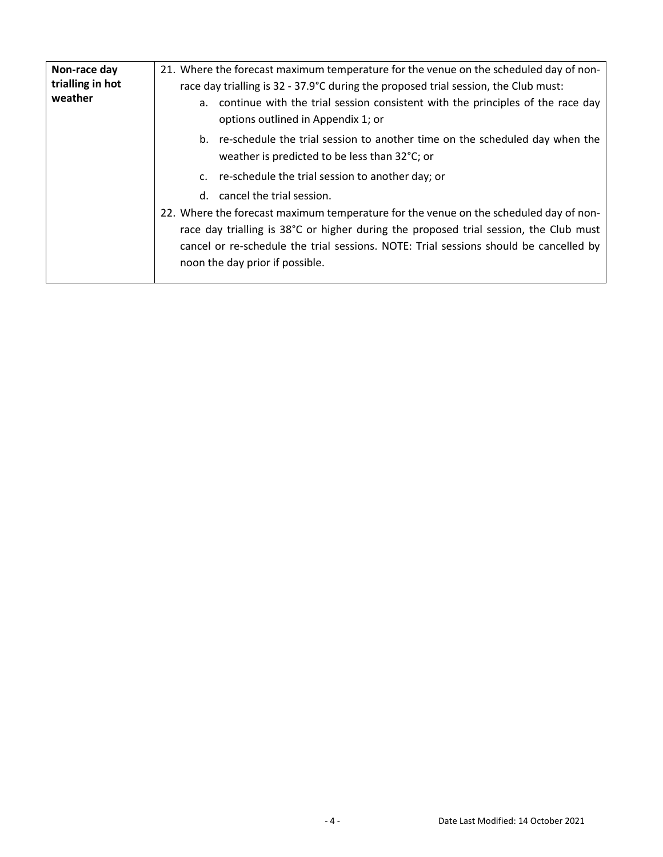| Non-race day<br>trialling in hot<br>weather | 21. Where the forecast maximum temperature for the venue on the scheduled day of non-                                                                                                                                                                                                                      |
|---------------------------------------------|------------------------------------------------------------------------------------------------------------------------------------------------------------------------------------------------------------------------------------------------------------------------------------------------------------|
|                                             | race day trialling is 32 - 37.9°C during the proposed trial session, the Club must:                                                                                                                                                                                                                        |
|                                             | a. continue with the trial session consistent with the principles of the race day<br>options outlined in Appendix 1; or                                                                                                                                                                                    |
|                                             | b. re-schedule the trial session to another time on the scheduled day when the<br>weather is predicted to be less than 32°C; or                                                                                                                                                                            |
|                                             | c. re-schedule the trial session to another day; or                                                                                                                                                                                                                                                        |
|                                             | d. cancel the trial session.                                                                                                                                                                                                                                                                               |
|                                             | 22. Where the forecast maximum temperature for the venue on the scheduled day of non-<br>race day trialling is 38°C or higher during the proposed trial session, the Club must<br>cancel or re-schedule the trial sessions. NOTE: Trial sessions should be cancelled by<br>noon the day prior if possible. |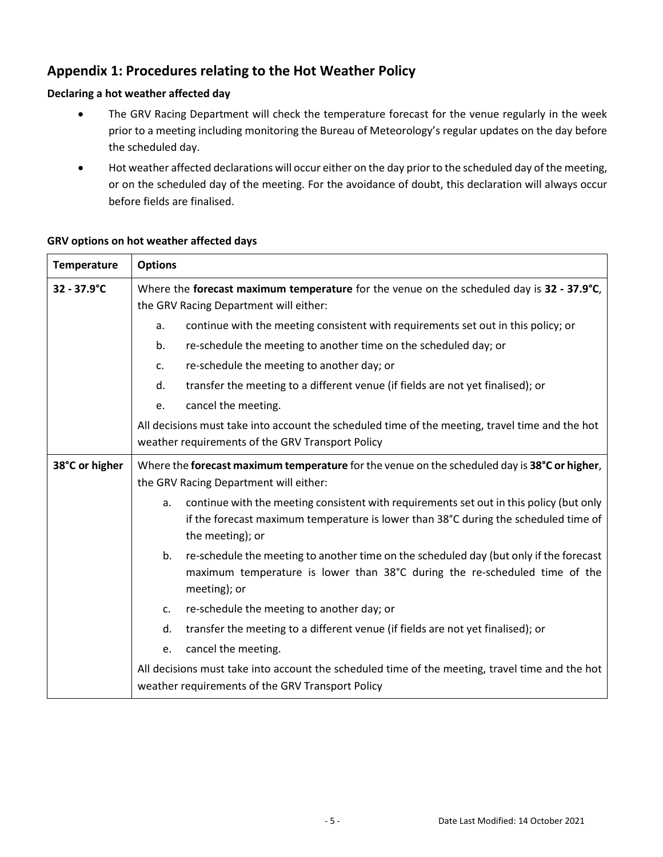# **Appendix 1: Procedures relating to the Hot Weather Policy**

## **Declaring a hot weather affected day**

- The GRV Racing Department will check the temperature forecast for the venue regularly in the week prior to a meeting including monitoring the Bureau of Meteorology's regular updates on the day before the scheduled day.
- Hot weather affected declarations will occur either on the day prior to the scheduled day of the meeting, or on the scheduled day of the meeting. For the avoidance of doubt, this declaration will always occur before fields are finalised.

| <b>Temperature</b> | <b>Options</b>                                                                                                                                                                                           |
|--------------------|----------------------------------------------------------------------------------------------------------------------------------------------------------------------------------------------------------|
| 32 - 37.9°C        | Where the forecast maximum temperature for the venue on the scheduled day is 32 - 37.9°C,<br>the GRV Racing Department will either:                                                                      |
|                    | continue with the meeting consistent with requirements set out in this policy; or<br>a.                                                                                                                  |
|                    | re-schedule the meeting to another time on the scheduled day; or<br>b.                                                                                                                                   |
|                    | re-schedule the meeting to another day; or<br>c.                                                                                                                                                         |
|                    | transfer the meeting to a different venue (if fields are not yet finalised); or<br>d.                                                                                                                    |
|                    | cancel the meeting.<br>e.                                                                                                                                                                                |
|                    | All decisions must take into account the scheduled time of the meeting, travel time and the hot<br>weather requirements of the GRV Transport Policy                                                      |
| 38°C or higher     | Where the forecast maximum temperature for the venue on the scheduled day is 38°C or higher,<br>the GRV Racing Department will either:                                                                   |
|                    | continue with the meeting consistent with requirements set out in this policy (but only<br>a.<br>if the forecast maximum temperature is lower than 38°C during the scheduled time of<br>the meeting); or |
|                    | re-schedule the meeting to another time on the scheduled day (but only if the forecast<br>b.<br>maximum temperature is lower than 38°C during the re-scheduled time of the<br>meeting); or               |
|                    | re-schedule the meeting to another day; or<br>c.                                                                                                                                                         |
|                    | transfer the meeting to a different venue (if fields are not yet finalised); or<br>d.                                                                                                                    |
|                    | cancel the meeting.<br>e.                                                                                                                                                                                |
|                    | All decisions must take into account the scheduled time of the meeting, travel time and the hot<br>weather requirements of the GRV Transport Policy                                                      |

### **GRV options on hot weather affected days**